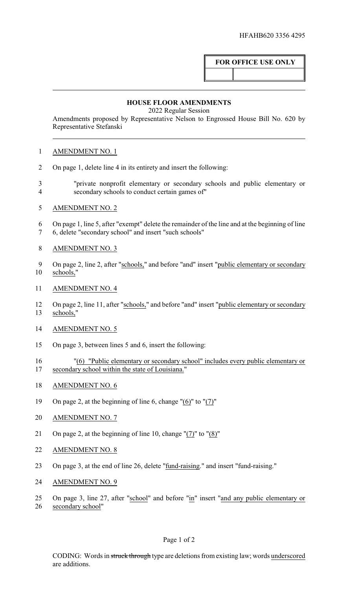## **FOR OFFICE USE ONLY**

## **HOUSE FLOOR AMENDMENTS**

2022 Regular Session

Amendments proposed by Representative Nelson to Engrossed House Bill No. 620 by Representative Stefanski

## AMENDMENT NO. 1

- On page 1, delete line 4 in its entirety and insert the following:
- "private nonprofit elementary or secondary schools and public elementary or secondary schools to conduct certain games of"
- AMENDMENT NO. 2
- On page 1, line 5, after "exempt" delete the remainder of the line and at the beginning of line 6, delete "secondary school" and insert "such schools"
- AMENDMENT NO. 3
- On page 2, line 2, after "schools," and before "and" insert "public elementary or secondary schools,"
- AMENDMENT NO. 4
- 12 On page 2, line 11, after "schools," and before "and" insert "public elementary or secondary schools,"
- AMENDMENT NO. 5
- On page 3, between lines 5 and 6, insert the following:
- "(6) "Public elementary or secondary school" includes every public elementary or 17 secondary school within the state of Louisiana."
- AMENDMENT NO. 6
- On page 2, at the beginning of line 6, change "(6)" to "(7)"
- AMENDMENT NO. 7
- On page 2, at the beginning of line 10, change "(7)" to "(8)"
- AMENDMENT NO. 8
- On page 3, at the end of line 26, delete "fund-raising." and insert "fund-raising."
- AMENDMENT NO. 9
- On page 3, line 27, after "school" and before "in" insert "and any public elementary or secondary school"